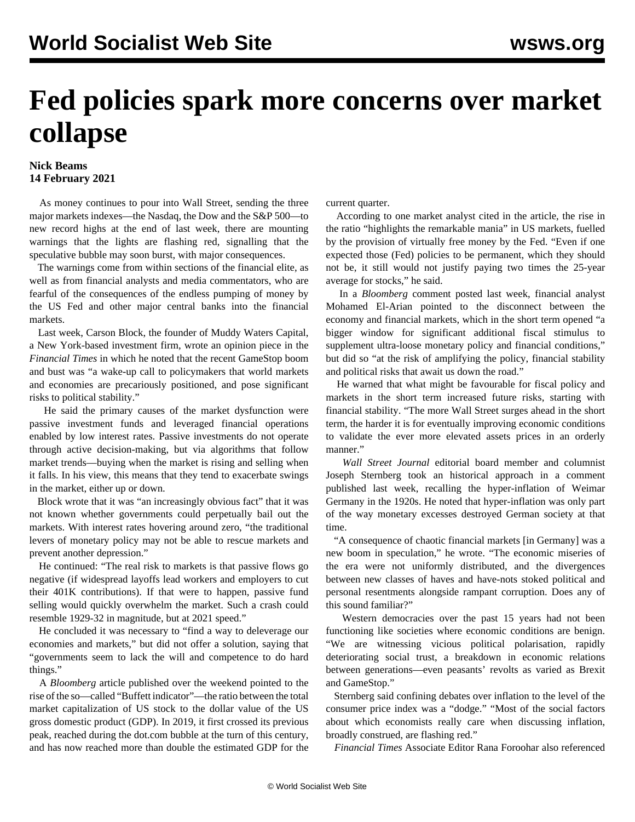## **Fed policies spark more concerns over market collapse**

## **Nick Beams 14 February 2021**

 As money continues to pour into Wall Street, sending the three major markets indexes—the Nasdaq, the Dow and the S&P 500—to new record highs at the end of last week, there are mounting warnings that the lights are flashing red, signalling that the speculative bubble may soon burst, with major consequences.

 The warnings come from within sections of the financial elite, as well as from financial analysts and media commentators, who are fearful of the consequences of the endless pumping of money by the US Fed and other major central banks into the financial markets.

 Last week, Carson Block, the founder of Muddy Waters Capital, a New York-based investment firm, wrote an opinion piece in the *Financial Times* in which he noted that the recent GameStop boom and bust was "a wake-up call to policymakers that world markets and economies are precariously positioned, and pose significant risks to political stability."

 He said the primary causes of the market dysfunction were passive investment funds and leveraged financial operations enabled by low interest rates. Passive investments do not operate through active decision-making, but via algorithms that follow market trends—buying when the market is rising and selling when it falls. In his view, this means that they tend to exacerbate swings in the market, either up or down.

 Block wrote that it was "an increasingly obvious fact" that it was not known whether governments could perpetually bail out the markets. With interest rates hovering around zero, "the traditional levers of monetary policy may not be able to rescue markets and prevent another depression."

 He continued: "The real risk to markets is that passive flows go negative (if widespread layoffs lead workers and employers to cut their 401K contributions). If that were to happen, passive fund selling would quickly overwhelm the market. Such a crash could resemble 1929-32 in magnitude, but at 2021 speed."

 He concluded it was necessary to "find a way to deleverage our economies and markets," but did not offer a solution, saying that "governments seem to lack the will and competence to do hard things."

 A *Bloomberg* article published over the weekend pointed to the rise of the so—called "Buffett indicator"—the ratio between the total market capitalization of US stock to the dollar value of the US gross domestic product (GDP). In 2019, it first crossed its previous peak, reached during the dot.com bubble at the turn of this century, and has now reached more than double the estimated GDP for the

current quarter.

 According to one market analyst cited in the article, the rise in the ratio "highlights the remarkable mania" in US markets, fuelled by the provision of virtually free money by the Fed. "Even if one expected those (Fed) policies to be permanent, which they should not be, it still would not justify paying two times the 25-year average for stocks," he said.

 In a *Bloomberg* comment posted last week, financial analyst Mohamed El-Arian pointed to the disconnect between the economy and financial markets, which in the short term opened "a bigger window for significant additional fiscal stimulus to supplement ultra-loose monetary policy and financial conditions," but did so "at the risk of amplifying the policy, financial stability and political risks that await us down the road."

 He warned that what might be favourable for fiscal policy and markets in the short term increased future risks, starting with financial stability. "The more Wall Street surges ahead in the short term, the harder it is for eventually improving economic conditions to validate the ever more elevated assets prices in an orderly manner."

 *Wall Street Journal* editorial board member and columnist Joseph Sternberg took an historical approach in a comment published last week, recalling the hyper-inflation of Weimar Germany in the 1920s. He noted that hyper-inflation was only part of the way monetary excesses destroyed German society at that time.

 "A consequence of chaotic financial markets [in Germany] was a new boom in speculation," he wrote. "The economic miseries of the era were not uniformly distributed, and the divergences between new classes of haves and have-nots stoked political and personal resentments alongside rampant corruption. Does any of this sound familiar?"

 Western democracies over the past 15 years had not been functioning like societies where economic conditions are benign. "We are witnessing vicious political polarisation, rapidly deteriorating social trust, a breakdown in economic relations between generations—even peasants' revolts as varied as Brexit and GameStop."

 Sternberg said confining debates over inflation to the level of the consumer price index was a "dodge." "Most of the social factors about which economists really care when discussing inflation, broadly construed, are flashing red."

*Financial Times* Associate Editor Rana Foroohar also referenced